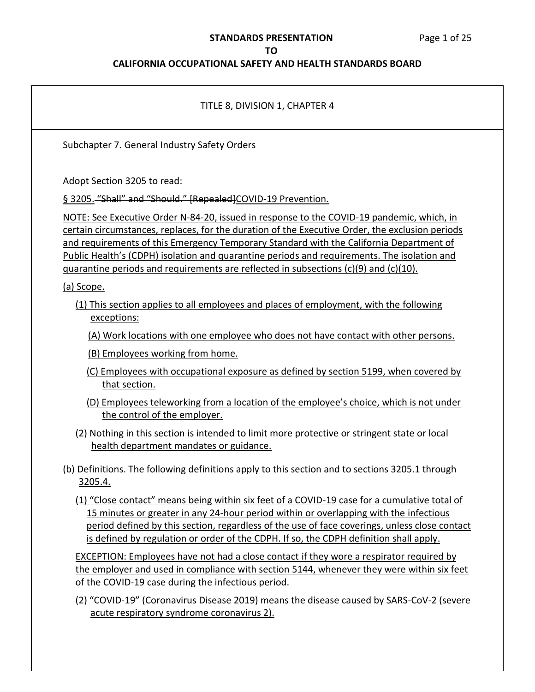## **STANDARDS PRESENTATION**  Page 1 of 25

#### **TO**

| TITLE 8, DIVISION 1, CHAPTER 4                                                                                                                                                                                                                                                                                                                                                                                                                                                 |
|--------------------------------------------------------------------------------------------------------------------------------------------------------------------------------------------------------------------------------------------------------------------------------------------------------------------------------------------------------------------------------------------------------------------------------------------------------------------------------|
| Subchapter 7. General Industry Safety Orders                                                                                                                                                                                                                                                                                                                                                                                                                                   |
| Adopt Section 3205 to read:<br>§ 3205. "Shall" and "Should." [Repealed] COVID-19 Prevention.                                                                                                                                                                                                                                                                                                                                                                                   |
| NOTE: See Executive Order N-84-20, issued in response to the COVID-19 pandemic, which, in<br>certain circumstances, replaces, for the duration of the Executive Order, the exclusion periods<br>and requirements of this Emergency Temporary Standard with the California Department of<br>Public Health's (CDPH) isolation and quarantine periods and requirements. The isolation and<br>guarantine periods and requirements are reflected in subsections (c)(9) and (c)(10). |
| (a) Scope.                                                                                                                                                                                                                                                                                                                                                                                                                                                                     |
| (1) This section applies to all employees and places of employment, with the following<br>exceptions:                                                                                                                                                                                                                                                                                                                                                                          |
| (A) Work locations with one employee who does not have contact with other persons.                                                                                                                                                                                                                                                                                                                                                                                             |
| (B) Employees working from home.                                                                                                                                                                                                                                                                                                                                                                                                                                               |
| (C) Employees with occupational exposure as defined by section 5199, when covered by<br>that section.                                                                                                                                                                                                                                                                                                                                                                          |
| (D) Employees teleworking from a location of the employee's choice, which is not under<br>the control of the employer.                                                                                                                                                                                                                                                                                                                                                         |
| (2) Nothing in this section is intended to limit more protective or stringent state or local<br>health department mandates or guidance.                                                                                                                                                                                                                                                                                                                                        |
| (b) Definitions. The following definitions apply to this section and to sections 3205.1 through<br>3205.4.                                                                                                                                                                                                                                                                                                                                                                     |
| (1) "Close contact" means being within six feet of a COVID-19 case for a cumulative total of<br>15 minutes or greater in any 24-hour period within or overlapping with the infectious<br>period defined by this section, regardless of the use of face coverings, unless close contact<br>is defined by regulation or order of the CDPH. If so, the CDPH definition shall apply.                                                                                               |
| <b>EXCEPTION: Employees have not had a close contact if they wore a respirator required by</b><br>the employer and used in compliance with section 5144, whenever they were within six feet<br>of the COVID-19 case during the infectious period.                                                                                                                                                                                                                              |
| (2) "COVID-19" (Coronavirus Disease 2019) means the disease caused by SARS-CoV-2 (severe<br>acute respiratory syndrome coronavirus 2).                                                                                                                                                                                                                                                                                                                                         |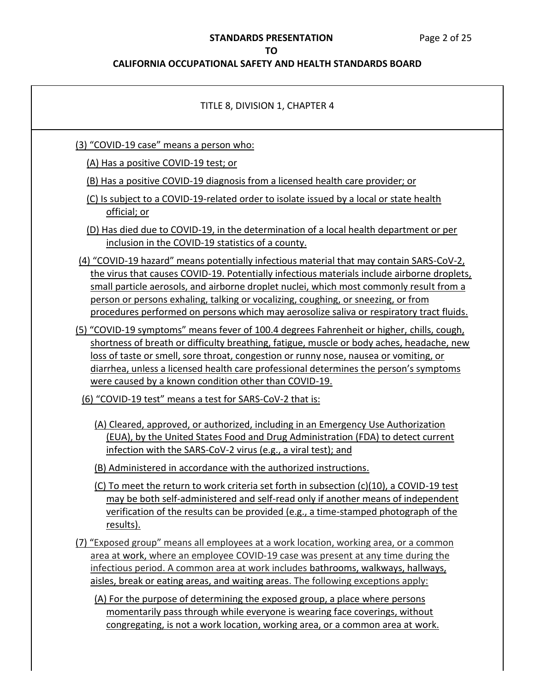## **CALIFORNIA OCCUPATIONAL SAFETY AND HEALTH STANDARDS BOARD**

| TITLE 8, DIVISION 1, CHAPTER 4                                                                                                                                                                                                                                                                                                                                                                                                                                      |
|---------------------------------------------------------------------------------------------------------------------------------------------------------------------------------------------------------------------------------------------------------------------------------------------------------------------------------------------------------------------------------------------------------------------------------------------------------------------|
| (3) "COVID-19 case" means a person who:                                                                                                                                                                                                                                                                                                                                                                                                                             |
| (A) Has a positive COVID-19 test; or                                                                                                                                                                                                                                                                                                                                                                                                                                |
| (B) Has a positive COVID-19 diagnosis from a licensed health care provider; or                                                                                                                                                                                                                                                                                                                                                                                      |
| (C) Is subject to a COVID-19-related order to isolate issued by a local or state health<br>official; or                                                                                                                                                                                                                                                                                                                                                             |
| (D) Has died due to COVID-19, in the determination of a local health department or per<br>inclusion in the COVID-19 statistics of a county.                                                                                                                                                                                                                                                                                                                         |
| (4) "COVID-19 hazard" means potentially infectious material that may contain SARS-CoV-2,<br>the virus that causes COVID-19. Potentially infectious materials include airborne droplets,<br>small particle aerosols, and airborne droplet nuclei, which most commonly result from a<br>person or persons exhaling, talking or vocalizing, coughing, or sneezing, or from<br>procedures performed on persons which may aerosolize saliva or respiratory tract fluids. |
| (5) "COVID-19 symptoms" means fever of 100.4 degrees Fahrenheit or higher, chills, cough,<br>shortness of breath or difficulty breathing, fatigue, muscle or body aches, headache, new<br>loss of taste or smell, sore throat, congestion or runny nose, nausea or vomiting, or<br>diarrhea, unless a licensed health care professional determines the person's symptoms<br>were caused by a known condition other than COVID-19.                                   |
| (6) "COVID-19 test" means a test for SARS-CoV-2 that is:                                                                                                                                                                                                                                                                                                                                                                                                            |
| (A) Cleared, approved, or authorized, including in an Emergency Use Authorization<br>(EUA), by the United States Food and Drug Administration (FDA) to detect current<br>infection with the SARS-CoV-2 virus (e.g., a viral test); and<br>(B) Administered in accordance with the authorized instructions.                                                                                                                                                          |
| (C) To meet the return to work criteria set forth in subsection (c)(10), a COVID-19 test<br>may be both self-administered and self-read only if another means of independent<br>verification of the results can be provided (e.g., a time-stamped photograph of the<br><u>results).</u>                                                                                                                                                                             |
| (7) "Exposed group" means all employees at a work location, working area, or a common<br>area at work, where an employee COVID-19 case was present at any time during the<br>infectious period. A common area at work includes bathrooms, walkways, hallways,<br>aisles, break or eating areas, and waiting areas. The following exceptions apply:<br>(A) For the purpose of determining the exposed group, a place where persons                                   |
| momentarily pass through while everyone is wearing face coverings, without                                                                                                                                                                                                                                                                                                                                                                                          |

congregating, is not a work location, working area, or a common area at work.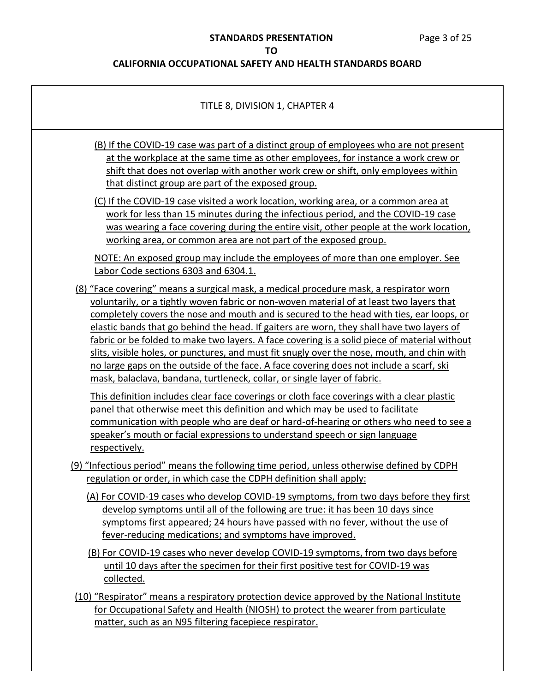| TITLE 8, DIVISION 1, CHAPTER 4                                                                                                                                                                                                                                                                                                                                                                                                                                                                                                                                                                                                                                                                                                                                                                                                                                                                                                                                                                                                                                                                                            |
|---------------------------------------------------------------------------------------------------------------------------------------------------------------------------------------------------------------------------------------------------------------------------------------------------------------------------------------------------------------------------------------------------------------------------------------------------------------------------------------------------------------------------------------------------------------------------------------------------------------------------------------------------------------------------------------------------------------------------------------------------------------------------------------------------------------------------------------------------------------------------------------------------------------------------------------------------------------------------------------------------------------------------------------------------------------------------------------------------------------------------|
| (B) If the COVID-19 case was part of a distinct group of employees who are not present<br>at the workplace at the same time as other employees, for instance a work crew or<br>shift that does not overlap with another work crew or shift, only employees within<br>that distinct group are part of the exposed group.                                                                                                                                                                                                                                                                                                                                                                                                                                                                                                                                                                                                                                                                                                                                                                                                   |
| (C) If the COVID-19 case visited a work location, working area, or a common area at<br>work for less than 15 minutes during the infectious period, and the COVID-19 case<br>was wearing a face covering during the entire visit, other people at the work location,<br>working area, or common area are not part of the exposed group.                                                                                                                                                                                                                                                                                                                                                                                                                                                                                                                                                                                                                                                                                                                                                                                    |
| NOTE: An exposed group may include the employees of more than one employer. See<br>Labor Code sections 6303 and 6304.1.                                                                                                                                                                                                                                                                                                                                                                                                                                                                                                                                                                                                                                                                                                                                                                                                                                                                                                                                                                                                   |
| (8) "Face covering" means a surgical mask, a medical procedure mask, a respirator worn<br>voluntarily, or a tightly woven fabric or non-woven material of at least two layers that<br>completely covers the nose and mouth and is secured to the head with ties, ear loops, or<br>elastic bands that go behind the head. If gaiters are worn, they shall have two layers of<br>fabric or be folded to make two layers. A face covering is a solid piece of material without<br>slits, visible holes, or punctures, and must fit snugly over the nose, mouth, and chin with<br>no large gaps on the outside of the face. A face covering does not include a scarf, ski<br>mask, balaclava, bandana, turtleneck, collar, or single layer of fabric.<br>This definition includes clear face coverings or cloth face coverings with a clear plastic<br>panel that otherwise meet this definition and which may be used to facilitate<br>communication with people who are deaf or hard-of-hearing or others who need to see a<br>speaker's mouth or facial expressions to understand speech or sign language<br>respectively. |
| (9) "Infectious period" means the following time period, unless otherwise defined by CDPH<br>regulation or order, in which case the CDPH definition shall apply:                                                                                                                                                                                                                                                                                                                                                                                                                                                                                                                                                                                                                                                                                                                                                                                                                                                                                                                                                          |
| (A) For COVID-19 cases who develop COVID-19 symptoms, from two days before they first<br>develop symptoms until all of the following are true: it has been 10 days since<br>symptoms first appeared; 24 hours have passed with no fever, without the use of<br>fever-reducing medications; and symptoms have improved.                                                                                                                                                                                                                                                                                                                                                                                                                                                                                                                                                                                                                                                                                                                                                                                                    |
| (B) For COVID-19 cases who never develop COVID-19 symptoms, from two days before<br>until 10 days after the specimen for their first positive test for COVID-19 was<br>collected.                                                                                                                                                                                                                                                                                                                                                                                                                                                                                                                                                                                                                                                                                                                                                                                                                                                                                                                                         |
| (10) "Respirator" means a respiratory protection device approved by the National Institute<br>for Occupational Safety and Health (NIOSH) to protect the wearer from particulate<br>matter, such as an N95 filtering facepiece respirator.                                                                                                                                                                                                                                                                                                                                                                                                                                                                                                                                                                                                                                                                                                                                                                                                                                                                                 |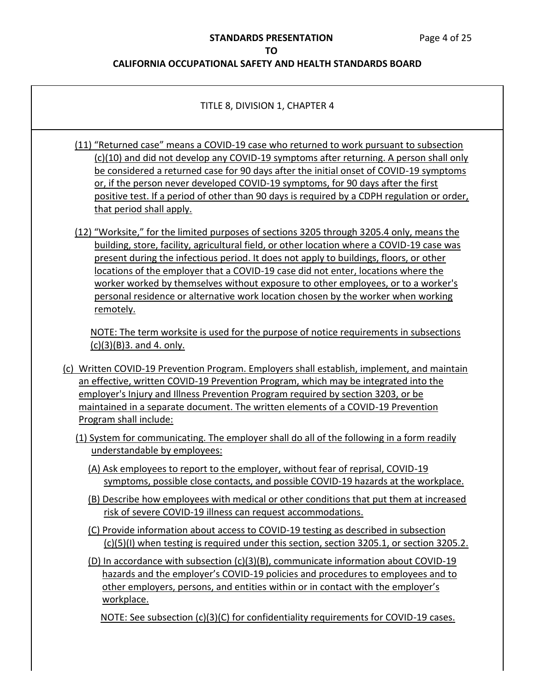#### **CALIFORNIA OCCUPATIONAL SAFETY AND HEALTH STANDARDS BOARD**

#### TITLE 8, DIVISION 1, CHAPTER 4

- (11) "Returned case" means a COVID-19 case who returned to work pursuant to subsection (c)(10) and did not develop any COVID-19 symptoms after returning. A person shall only be considered a returned case for 90 days after the initial onset of COVID-19 symptoms or, if the person never developed COVID-19 symptoms, for 90 days after the first positive test. If a period of other than 90 days is required by a CDPH regulation or order, that period shall apply.
- (12) "Worksite," for the limited purposes of sections 3205 through 3205.4 only, means the building, store, facility, agricultural field, or other location where a COVID-19 case was present during the infectious period. It does not apply to buildings, floors, or other locations of the employer that a COVID-19 case did not enter, locations where the worker worked by themselves without exposure to other employees, or to a worker's personal residence or alternative work location chosen by the worker when working remotely.

 NOTE: The term worksite is used for the purpose of notice requirements in subsections (c)(3)(B)3. and 4. only.

- (c) Written COVID-19 Prevention Program. Employers shall establish, implement, and maintain an effective, written COVID-19 Prevention Program, which may be integrated into the employer's Injury and Illness Prevention Program required by section 3203, or be maintained in a separate document. The written elements of a COVID-19 Prevention Program shall include:
	- (1) System for communicating. The employer shall do all of the following in a form readily understandable by employees:
		- (A) Ask employees to report to the employer, without fear of reprisal, COVID-19 symptoms, possible close contacts, and possible COVID-19 hazards at the workplace.
		- (B) Describe how employees with medical or other conditions that put them at increased risk of severe COVID-19 illness can request accommodations.
		- (C) Provide information about access to COVID-19 testing as described in subsection (c)(5)(I) when testing is required under this section, section 3205.1, or section 3205.2.
		- (D) In accordance with subsection (c)(3)(B), communicate information about COVID-19 other employers, persons, and entities within or in contact with the employer's hazards and the employer's COVID-19 policies and procedures to employees and to workplace.

NOTE: See subsection (c)(3)(C) for confidentiality requirements for COVID-19 cases.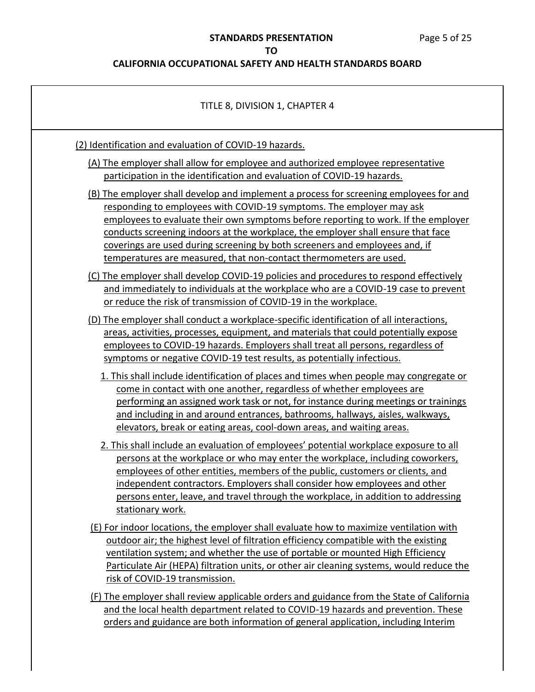| TITLE 8, DIVISION 1, CHAPTER 4                                                                                                                                                                                                                                                                                                                                                                                                                                                                |
|-----------------------------------------------------------------------------------------------------------------------------------------------------------------------------------------------------------------------------------------------------------------------------------------------------------------------------------------------------------------------------------------------------------------------------------------------------------------------------------------------|
| (2) Identification and evaluation of COVID-19 hazards.                                                                                                                                                                                                                                                                                                                                                                                                                                        |
| (A) The employer shall allow for employee and authorized employee representative<br>participation in the identification and evaluation of COVID-19 hazards.                                                                                                                                                                                                                                                                                                                                   |
| (B) The employer shall develop and implement a process for screening employees for and<br>responding to employees with COVID-19 symptoms. The employer may ask<br>employees to evaluate their own symptoms before reporting to work. If the employer<br>conducts screening indoors at the workplace, the employer shall ensure that face<br>coverings are used during screening by both screeners and employees and, if<br>temperatures are measured, that non-contact thermometers are used. |
| (C) The employer shall develop COVID-19 policies and procedures to respond effectively<br>and immediately to individuals at the workplace who are a COVID-19 case to prevent<br>or reduce the risk of transmission of COVID-19 in the workplace.                                                                                                                                                                                                                                              |
| (D) The employer shall conduct a workplace-specific identification of all interactions,<br>areas, activities, processes, equipment, and materials that could potentially expose<br>employees to COVID-19 hazards. Employers shall treat all persons, regardless of<br>symptoms or negative COVID-19 test results, as potentially infectious.                                                                                                                                                  |
| 1. This shall include identification of places and times when people may congregate or<br>come in contact with one another, regardless of whether employees are<br>performing an assigned work task or not, for instance during meetings or trainings<br>and including in and around entrances, bathrooms, hallways, aisles, walkways,<br>elevators, break or eating areas, cool-down areas, and waiting areas.                                                                               |
| 2. This shall include an evaluation of employees' potential workplace exposure to all<br>persons at the workplace or who may enter the workplace, including coworkers,<br>employees of other entities, members of the public, customers or clients, and<br>independent contractors. Employers shall consider how employees and other<br>persons enter, leave, and travel through the workplace, in addition to addressing<br>stationary work.                                                 |
| (E) For indoor locations, the employer shall evaluate how to maximize ventilation with<br>outdoor air; the highest level of filtration efficiency compatible with the existing<br>ventilation system; and whether the use of portable or mounted High Efficiency<br>Particulate Air (HEPA) filtration units, or other air cleaning systems, would reduce the<br>risk of COVID-19 transmission.                                                                                                |
| (F) The employer shall review applicable orders and guidance from the State of California<br>and the local health department related to COVID-19 hazards and prevention. These<br>orders and guidance are both information of general application, including Interim                                                                                                                                                                                                                          |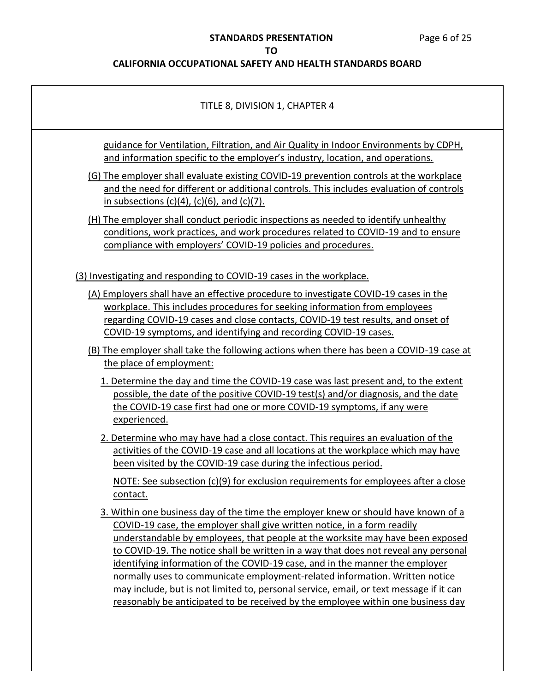## **STANDARDS PRESENTATION** Page 6 of 25

## **TO**

| TITLE 8, DIVISION 1, CHAPTER 4                                                                                                                                                                                                                                                                                                                                                                                                                                                                                                                                                                                                                                                       |
|--------------------------------------------------------------------------------------------------------------------------------------------------------------------------------------------------------------------------------------------------------------------------------------------------------------------------------------------------------------------------------------------------------------------------------------------------------------------------------------------------------------------------------------------------------------------------------------------------------------------------------------------------------------------------------------|
| guidance for Ventilation, Filtration, and Air Quality in Indoor Environments by CDPH,<br>and information specific to the employer's industry, location, and operations.                                                                                                                                                                                                                                                                                                                                                                                                                                                                                                              |
| (G) The employer shall evaluate existing COVID-19 prevention controls at the workplace<br>and the need for different or additional controls. This includes evaluation of controls<br>in subsections $(c)(4)$ , $(c)(6)$ , and $(c)(7)$ .                                                                                                                                                                                                                                                                                                                                                                                                                                             |
| (H) The employer shall conduct periodic inspections as needed to identify unhealthy<br>conditions, work practices, and work procedures related to COVID-19 and to ensure<br>compliance with employers' COVID-19 policies and procedures.                                                                                                                                                                                                                                                                                                                                                                                                                                             |
| (3) Investigating and responding to COVID-19 cases in the workplace.                                                                                                                                                                                                                                                                                                                                                                                                                                                                                                                                                                                                                 |
| (A) Employers shall have an effective procedure to investigate COVID-19 cases in the<br>workplace. This includes procedures for seeking information from employees<br>regarding COVID-19 cases and close contacts, COVID-19 test results, and onset of<br>COVID-19 symptoms, and identifying and recording COVID-19 cases.                                                                                                                                                                                                                                                                                                                                                           |
| (B) The employer shall take the following actions when there has been a COVID-19 case at<br>the place of employment:                                                                                                                                                                                                                                                                                                                                                                                                                                                                                                                                                                 |
| 1. Determine the day and time the COVID-19 case was last present and, to the extent<br>possible, the date of the positive COVID-19 test(s) and/or diagnosis, and the date<br>the COVID-19 case first had one or more COVID-19 symptoms, if any were<br>experienced.                                                                                                                                                                                                                                                                                                                                                                                                                  |
| 2. Determine who may have had a close contact. This requires an evaluation of the<br>activities of the COVID-19 case and all locations at the workplace which may have<br>been visited by the COVID-19 case during the infectious period.                                                                                                                                                                                                                                                                                                                                                                                                                                            |
| NOTE: See subsection (c)(9) for exclusion requirements for employees after a close<br>contact.                                                                                                                                                                                                                                                                                                                                                                                                                                                                                                                                                                                       |
| 3. Within one business day of the time the employer knew or should have known of a<br>COVID-19 case, the employer shall give written notice, in a form readily<br>understandable by employees, that people at the worksite may have been exposed<br>to COVID-19. The notice shall be written in a way that does not reveal any personal<br>identifying information of the COVID-19 case, and in the manner the employer<br>normally uses to communicate employment-related information. Written notice<br>may include, but is not limited to, personal service, email, or text message if it can<br>reasonably be anticipated to be received by the employee within one business day |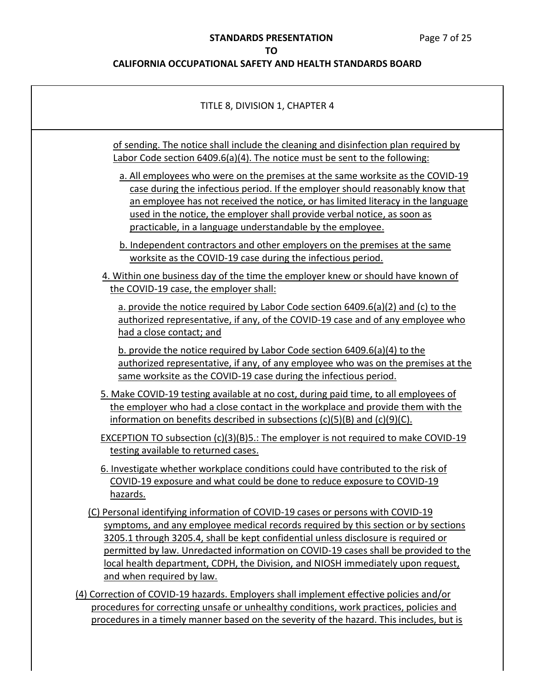| TITLE 8, DIVISION 1, CHAPTER 4                                                                                                                                                                                                                                                                                                                                                                                                                                      |
|---------------------------------------------------------------------------------------------------------------------------------------------------------------------------------------------------------------------------------------------------------------------------------------------------------------------------------------------------------------------------------------------------------------------------------------------------------------------|
| of sending. The notice shall include the cleaning and disinfection plan required by<br>Labor Code section 6409.6(a)(4). The notice must be sent to the following:                                                                                                                                                                                                                                                                                                   |
| a. All employees who were on the premises at the same worksite as the COVID-19<br>case during the infectious period. If the employer should reasonably know that<br>an employee has not received the notice, or has limited literacy in the language<br>used in the notice, the employer shall provide verbal notice, as soon as<br>practicable, in a language understandable by the employee.                                                                      |
| b. Independent contractors and other employers on the premises at the same<br>worksite as the COVID-19 case during the infectious period.                                                                                                                                                                                                                                                                                                                           |
| 4. Within one business day of the time the employer knew or should have known of<br>the COVID-19 case, the employer shall:                                                                                                                                                                                                                                                                                                                                          |
| a. provide the notice required by Labor Code section 6409.6(a)(2) and (c) to the<br>authorized representative, if any, of the COVID-19 case and of any employee who<br>had a close contact; and                                                                                                                                                                                                                                                                     |
| b. provide the notice required by Labor Code section 6409.6(a)(4) to the<br>authorized representative, if any, of any employee who was on the premises at the<br>same worksite as the COVID-19 case during the infectious period.                                                                                                                                                                                                                                   |
| 5. Make COVID-19 testing available at no cost, during paid time, to all employees of<br>the employer who had a close contact in the workplace and provide them with the<br>information on benefits described in subsections $(c)(5)(B)$ and $(c)(9)(C)$ .                                                                                                                                                                                                           |
| <b>EXCEPTION TO subsection (c)(3)(B)5.: The employer is not required to make COVID-19</b><br>testing available to returned cases.                                                                                                                                                                                                                                                                                                                                   |
| 6. Investigate whether workplace conditions could have contributed to the risk of<br>COVID-19 exposure and what could be done to reduce exposure to COVID-19<br>hazards.                                                                                                                                                                                                                                                                                            |
| (C) Personal identifying information of COVID-19 cases or persons with COVID-19<br>symptoms, and any employee medical records required by this section or by sections<br>3205.1 through 3205.4, shall be kept confidential unless disclosure is required or<br>permitted by law. Unredacted information on COVID-19 cases shall be provided to the<br>local health department, CDPH, the Division, and NIOSH immediately upon request,<br>and when required by law. |
| (4) Correction of COVID-19 hazards. Employers shall implement effective policies and/or<br>procedures for correcting unsafe or unhealthy conditions, work practices, policies and                                                                                                                                                                                                                                                                                   |
| procedures in a timely manner based on the severity of the hazard. This includes, but is                                                                                                                                                                                                                                                                                                                                                                            |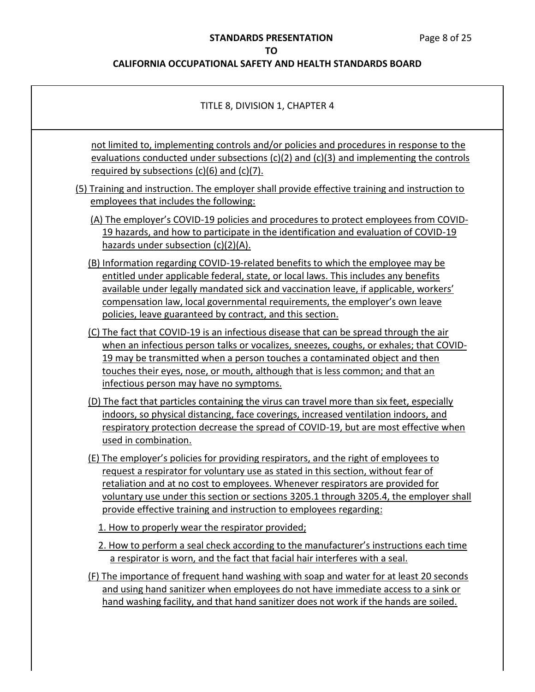## **STANDARDS PRESENTATION** Page 8 of 25

## **TO**

| TITLE 8, DIVISION 1, CHAPTER 4                                                                                                                                                                                                                                                                                                                                                                                              |
|-----------------------------------------------------------------------------------------------------------------------------------------------------------------------------------------------------------------------------------------------------------------------------------------------------------------------------------------------------------------------------------------------------------------------------|
| not limited to, implementing controls and/or policies and procedures in response to the<br>evaluations conducted under subsections (c)(2) and (c)(3) and implementing the controls<br>required by subsections $(c)(6)$ and $(c)(7)$ .                                                                                                                                                                                       |
| (5) Training and instruction. The employer shall provide effective training and instruction to<br>employees that includes the following:                                                                                                                                                                                                                                                                                    |
| (A) The employer's COVID-19 policies and procedures to protect employees from COVID-<br>19 hazards, and how to participate in the identification and evaluation of COVID-19<br>hazards under subsection $(c)(2)(A)$ .                                                                                                                                                                                                       |
| (B) Information regarding COVID-19-related benefits to which the employee may be<br>entitled under applicable federal, state, or local laws. This includes any benefits<br>available under legally mandated sick and vaccination leave, if applicable, workers'<br>compensation law, local governmental requirements, the employer's own leave<br>policies, leave guaranteed by contract, and this section.                 |
| (C) The fact that COVID-19 is an infectious disease that can be spread through the air<br>when an infectious person talks or vocalizes, sneezes, coughs, or exhales; that COVID-<br>19 may be transmitted when a person touches a contaminated object and then<br>touches their eyes, nose, or mouth, although that is less common; and that an<br>infectious person may have no symptoms.                                  |
| (D) The fact that particles containing the virus can travel more than six feet, especially<br>indoors, so physical distancing, face coverings, increased ventilation indoors, and<br>respiratory protection decrease the spread of COVID-19, but are most effective when<br>used in combination.                                                                                                                            |
| (E) The employer's policies for providing respirators, and the right of employees to<br>request a respirator for voluntary use as stated in this section, without fear of<br>retaliation and at no cost to employees. Whenever respirators are provided for<br>voluntary use under this section or sections 3205.1 through 3205.4, the employer shall<br>provide effective training and instruction to employees regarding: |
| 1. How to properly wear the respirator provided;                                                                                                                                                                                                                                                                                                                                                                            |
| 2. How to perform a seal check according to the manufacturer's instructions each time<br>a respirator is worn, and the fact that facial hair interferes with a seal.                                                                                                                                                                                                                                                        |
| (F) The importance of frequent hand washing with soap and water for at least 20 seconds<br>and using hand sanitizer when employees do not have immediate access to a sink or<br>hand washing facility, and that hand sanitizer does not work if the hands are soiled.                                                                                                                                                       |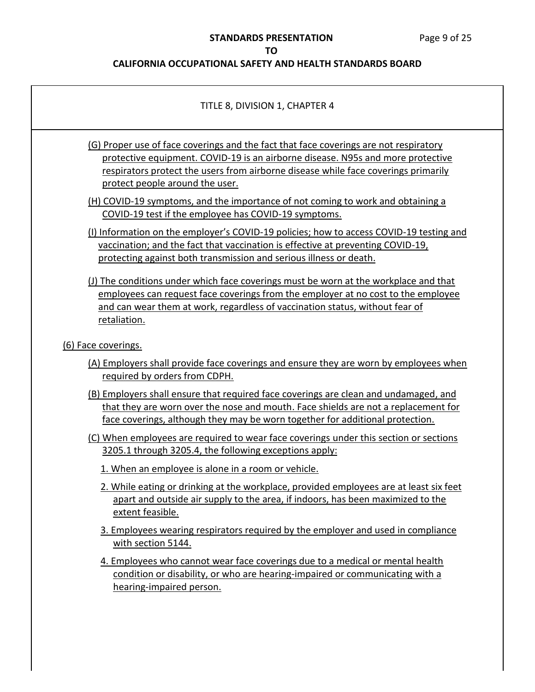| TITLE 8, DIVISION 1, CHAPTER 4                                                                                                                                                                                                                                                                    |
|---------------------------------------------------------------------------------------------------------------------------------------------------------------------------------------------------------------------------------------------------------------------------------------------------|
| (G) Proper use of face coverings and the fact that face coverings are not respiratory<br>protective equipment. COVID-19 is an airborne disease. N95s and more protective<br>respirators protect the users from airborne disease while face coverings primarily<br>protect people around the user. |
| (H) COVID-19 symptoms, and the importance of not coming to work and obtaining a<br>COVID-19 test if the employee has COVID-19 symptoms.                                                                                                                                                           |
| (I) Information on the employer's COVID-19 policies; how to access COVID-19 testing and<br>vaccination; and the fact that vaccination is effective at preventing COVID-19,<br>protecting against both transmission and serious illness or death.                                                  |
| (J) The conditions under which face coverings must be worn at the workplace and that<br>employees can request face coverings from the employer at no cost to the employee<br>and can wear them at work, regardless of vaccination status, without fear of<br>retaliation.                         |
| (6) Face coverings.                                                                                                                                                                                                                                                                               |
| (A) Employers shall provide face coverings and ensure they are worn by employees when<br>required by orders from CDPH.                                                                                                                                                                            |
| (B) Employers shall ensure that required face coverings are clean and undamaged, and<br>that they are worn over the nose and mouth. Face shields are not a replacement for<br>face coverings, although they may be worn together for additional protection.                                       |
| (C) When employees are required to wear face coverings under this section or sections<br>3205.1 through 3205.4, the following exceptions apply:                                                                                                                                                   |
| 1. When an employee is alone in a room or vehicle.                                                                                                                                                                                                                                                |
| 2. While eating or drinking at the workplace, provided employees are at least six feet<br>apart and outside air supply to the area, if indoors, has been maximized to the<br>extent feasible.                                                                                                     |
| 3. Employees wearing respirators required by the employer and used in compliance<br>with section 5144.                                                                                                                                                                                            |
| 4. Employees who cannot wear face coverings due to a medical or mental health<br>condition or disability, or who are hearing-impaired or communicating with a<br>hearing-impaired person.                                                                                                         |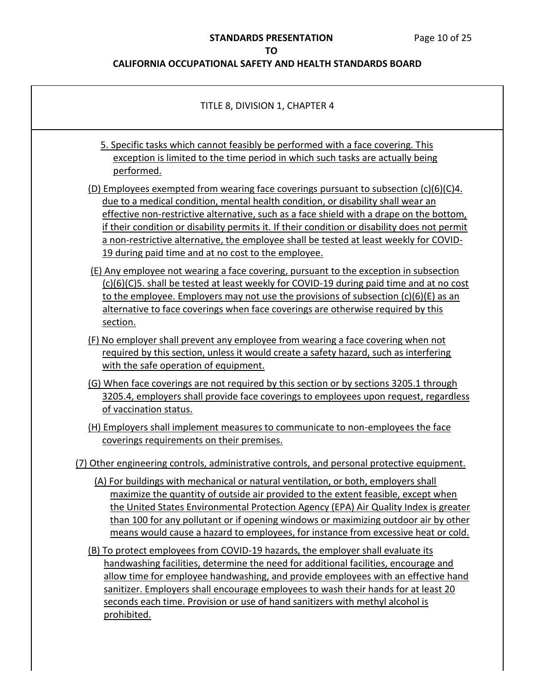| TITLE 8, DIVISION 1, CHAPTER 4                                                                                                                                                                                                                                                                                                                                                                                                                                                                                                              |
|---------------------------------------------------------------------------------------------------------------------------------------------------------------------------------------------------------------------------------------------------------------------------------------------------------------------------------------------------------------------------------------------------------------------------------------------------------------------------------------------------------------------------------------------|
| 5. Specific tasks which cannot feasibly be performed with a face covering. This<br>exception is limited to the time period in which such tasks are actually being<br>performed.                                                                                                                                                                                                                                                                                                                                                             |
| (D) Employees exempted from wearing face coverings pursuant to subsection $(c)(6)(c)4$ .<br>due to a medical condition, mental health condition, or disability shall wear an<br>effective non-restrictive alternative, such as a face shield with a drape on the bottom,<br>if their condition or disability permits it. If their condition or disability does not permit<br>a non-restrictive alternative, the employee shall be tested at least weekly for COVID-<br>19 during paid time and at no cost to the employee.                  |
| (E) Any employee not wearing a face covering, pursuant to the exception in subsection<br>(c)(6)(C)5. shall be tested at least weekly for COVID-19 during paid time and at no cost<br>to the employee. Employers may not use the provisions of subsection $(c)(6)(E)$ as an<br>alternative to face coverings when face coverings are otherwise required by this<br>section.                                                                                                                                                                  |
| (F) No employer shall prevent any employee from wearing a face covering when not<br>required by this section, unless it would create a safety hazard, such as interfering<br>with the safe operation of equipment.                                                                                                                                                                                                                                                                                                                          |
| (G) When face coverings are not required by this section or by sections 3205.1 through<br>3205.4, employers shall provide face coverings to employees upon request, regardless<br>of vaccination status.                                                                                                                                                                                                                                                                                                                                    |
| (H) Employers shall implement measures to communicate to non-employees the face<br>coverings requirements on their premises.                                                                                                                                                                                                                                                                                                                                                                                                                |
| (7) Other engineering controls, administrative controls, and personal protective equipment.<br>(A) For buildings with mechanical or natural ventilation, or both, employers shall<br>maximize the quantity of outside air provided to the extent feasible, except when<br>the United States Environmental Protection Agency (EPA) Air Quality Index is greater<br>than 100 for any pollutant or if opening windows or maximizing outdoor air by other<br>means would cause a hazard to employees, for instance from excessive heat or cold. |
| (B) To protect employees from COVID-19 hazards, the employer shall evaluate its<br>handwashing facilities, determine the need for additional facilities, encourage and<br>allow time for employee handwashing, and provide employees with an effective hand<br>sanitizer. Employers shall encourage employees to wash their hands for at least 20<br>seconds each time. Provision or use of hand sanitizers with methyl alcohol is<br>prohibited.                                                                                           |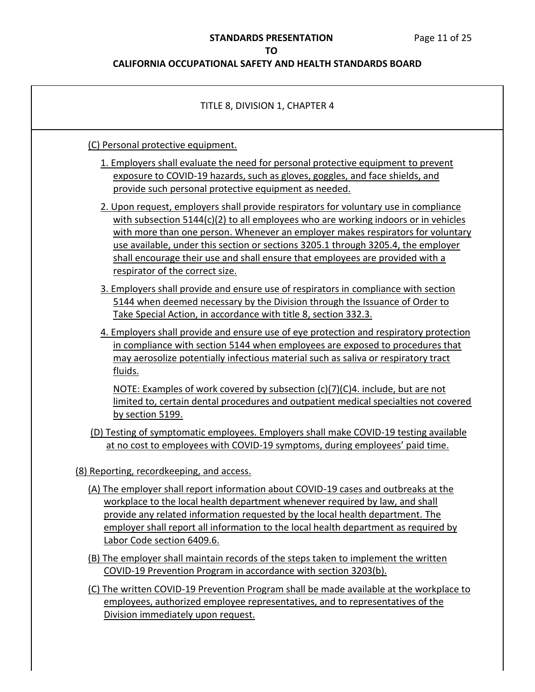| TITLE 8, DIVISION 1, CHAPTER 4                                                                                                                                                                                                                                                                                                                                                                                                                                           |
|--------------------------------------------------------------------------------------------------------------------------------------------------------------------------------------------------------------------------------------------------------------------------------------------------------------------------------------------------------------------------------------------------------------------------------------------------------------------------|
| (C) Personal protective equipment.<br>1. Employers shall evaluate the need for personal protective equipment to prevent<br>exposure to COVID-19 hazards, such as gloves, goggles, and face shields, and<br>provide such personal protective equipment as needed.                                                                                                                                                                                                         |
| 2. Upon request, employers shall provide respirators for voluntary use in compliance<br>with subsection $5144(c)(2)$ to all employees who are working indoors or in vehicles<br>with more than one person. Whenever an employer makes respirators for voluntary<br>use available, under this section or sections 3205.1 through 3205.4, the employer<br>shall encourage their use and shall ensure that employees are provided with a<br>respirator of the correct size. |
| 3. Employers shall provide and ensure use of respirators in compliance with section<br>5144 when deemed necessary by the Division through the Issuance of Order to<br>Take Special Action, in accordance with title 8, section 332.3.                                                                                                                                                                                                                                    |
| 4. Employers shall provide and ensure use of eye protection and respiratory protection<br>in compliance with section 5144 when employees are exposed to procedures that<br>may aerosolize potentially infectious material such as saliva or respiratory tract<br>fluids.                                                                                                                                                                                                 |
| NOTE: Examples of work covered by subsection (c)(7)(C)4. include, but are not<br>limited to, certain dental procedures and outpatient medical specialties not covered<br>by section 5199.                                                                                                                                                                                                                                                                                |
| (D) Testing of symptomatic employees. Employers shall make COVID-19 testing available<br>at no cost to employees with COVID-19 symptoms, during employees' paid time.                                                                                                                                                                                                                                                                                                    |
| (8) Reporting, recordkeeping, and access.<br>(A) The employer shall report information about COVID-19 cases and outbreaks at the<br>workplace to the local health department whenever required by law, and shall<br>provide any related information requested by the local health department. The<br>employer shall report all information to the local health department as required by<br>Labor Code section 6409.6.                                                   |
| (B) The employer shall maintain records of the steps taken to implement the written<br>COVID-19 Prevention Program in accordance with section 3203(b).<br>(C) The written COVID-19 Prevention Program shall be made available at the workplace to                                                                                                                                                                                                                        |
| employees, authorized employee representatives, and to representatives of the<br>Division immediately upon request.                                                                                                                                                                                                                                                                                                                                                      |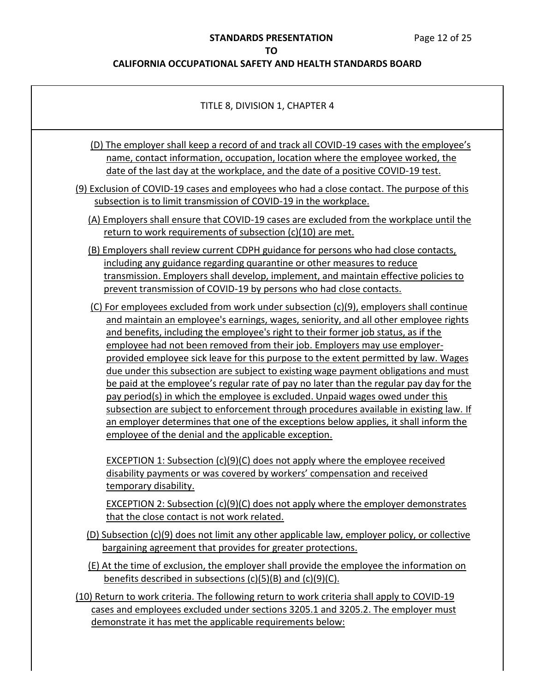#### **STANDARDS PRESENTATION** Page 12 of 25

**TO** 

#### **CALIFORNIA OCCUPATIONAL SAFETY AND HEALTH STANDARDS BOARD**

## TITLE 8, DIVISION 1, CHAPTER 4 (D) The employer shall keep a record of and track all COVID-19 cases with the employee's name, contact information, occupation, location where the employee worked, the date of the last day at the workplace, and the date of a positive COVID-19 test. (9) Exclusion of COVID-19 cases and employees who had a close contact. The purpose of this subsection is to limit transmission of COVID-19 in the workplace. (A) Employers shall ensure that COVID-19 cases are excluded from the workplace until the return to work requirements of subsection (c)(10) are met. (B) Employers shall review current CDPH guidance for persons who had close contacts, including any guidance regarding quarantine or other measures to reduce transmission. Employers shall develop, implement, and maintain effective policies to prevent transmission of COVID-19 by persons who had close contacts. (C) For employees excluded from work under subsection (c)(9), employers shall continue and maintain an employee's earnings, wages, seniority, and all other employee rights and benefits, including the employee's right to their former job status, as if the employee had not been removed from their job. Employers may use employer- provided employee sick leave for this purpose to the extent permitted by law. Wages due under this subsection are subject to existing wage payment obligations and must be paid at the employee's regular rate of pay no later than the regular pay day for the pay period(s) in which the employee is excluded. Unpaid wages owed under this subsection are subject to enforcement through procedures available in existing law. If an employer determines that one of the exceptions below applies, it shall inform the disability payments or was covered by workers' compensation and received that the close contact is not work related. (D) Subsection (c)(9) does not limit any other applicable law, employer policy, or collective bargaining agreement that provides for greater protections. (E) At the time of exclusion, the employer shall provide the employee the information on benefits described in subsections (c)(5)(B) and (c)(9)(C). (10) Return to work criteria. The following return to work criteria shall apply to COVID-19 cases and employees excluded under sections 3205.1 and 3205.2. The employer must demonstrate it has met the applicable requirements below: employee of the denial and the applicable exception. EXCEPTION 1: Subsection (c)(9)(C) does not apply where the employee received temporary disability. EXCEPTION 2: Subsection (c)(9)(C) does not apply where the employer demonstrates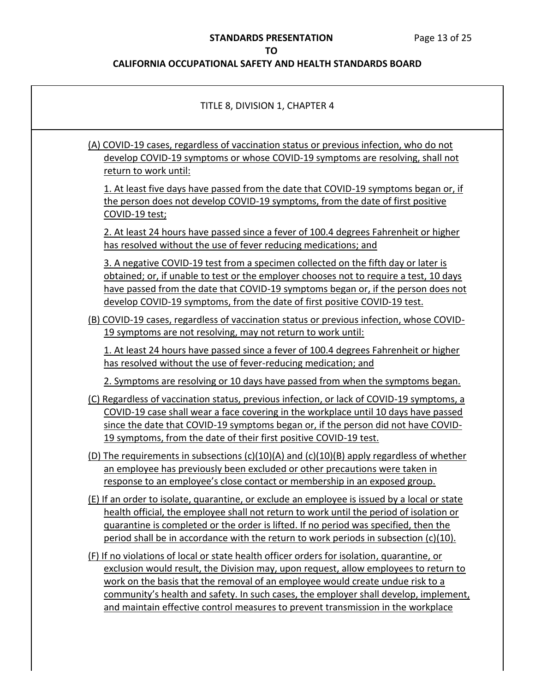| TITLE 8, DIVISION 1, CHAPTER 4                                                                                                                                                                                                                                                                                                                                                                                                                   |
|--------------------------------------------------------------------------------------------------------------------------------------------------------------------------------------------------------------------------------------------------------------------------------------------------------------------------------------------------------------------------------------------------------------------------------------------------|
| (A) COVID-19 cases, regardless of vaccination status or previous infection, who do not<br>develop COVID-19 symptoms or whose COVID-19 symptoms are resolving, shall not<br>return to work until:                                                                                                                                                                                                                                                 |
| 1. At least five days have passed from the date that COVID-19 symptoms began or, if<br>the person does not develop COVID-19 symptoms, from the date of first positive<br>COVID-19 test;                                                                                                                                                                                                                                                          |
| 2. At least 24 hours have passed since a fever of 100.4 degrees Fahrenheit or higher<br>has resolved without the use of fever reducing medications; and                                                                                                                                                                                                                                                                                          |
| 3. A negative COVID-19 test from a specimen collected on the fifth day or later is<br>obtained; or, if unable to test or the employer chooses not to require a test, 10 days<br>have passed from the date that COVID-19 symptoms began or, if the person does not<br>develop COVID-19 symptoms, from the date of first positive COVID-19 test.                                                                                                   |
| (B) COVID-19 cases, regardless of vaccination status or previous infection, whose COVID-<br>19 symptoms are not resolving, may not return to work until:                                                                                                                                                                                                                                                                                         |
| 1. At least 24 hours have passed since a fever of 100.4 degrees Fahrenheit or higher<br>has resolved without the use of fever-reducing medication; and                                                                                                                                                                                                                                                                                           |
| 2. Symptoms are resolving or 10 days have passed from when the symptoms began.                                                                                                                                                                                                                                                                                                                                                                   |
| (C) Regardless of vaccination status, previous infection, or lack of COVID-19 symptoms, a<br>COVID-19 case shall wear a face covering in the workplace until 10 days have passed<br>since the date that COVID-19 symptoms began or, if the person did not have COVID-<br>19 symptoms, from the date of their first positive COVID-19 test.                                                                                                       |
| (D) The requirements in subsections $(c)(10)(A)$ and $(c)(10)(B)$ apply regardless of whether<br>an employee has previously been excluded or other precautions were taken in<br>response to an employee's close contact or membership in an exposed group.                                                                                                                                                                                       |
| (E) If an order to isolate, quarantine, or exclude an employee is issued by a local or state<br>health official, the employee shall not return to work until the period of isolation or<br>guarantine is completed or the order is lifted. If no period was specified, then the<br>period shall be in accordance with the return to work periods in subsection $(c)(10)$ .                                                                       |
| (F) If no violations of local or state health officer orders for isolation, quarantine, or<br>exclusion would result, the Division may, upon request, allow employees to return to<br>work on the basis that the removal of an employee would create undue risk to a<br>community's health and safety. In such cases, the employer shall develop, implement,<br>and maintain effective control measures to prevent transmission in the workplace |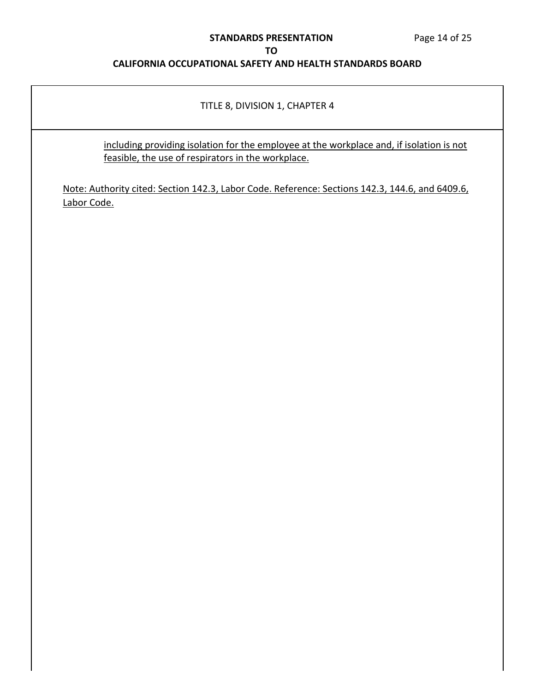#### **STANDARDS PRESENTATION** Page 14 of 25

#### **TO**

## **CALIFORNIA OCCUPATIONAL SAFETY AND HEALTH STANDARDS BOARD**

#### TITLE 8, DIVISION 1, CHAPTER 4

 including providing isolation for the employee at the workplace and, if isolation is not feasible, the use of respirators in the workplace.

Note: Authority cited: Section 142.3, Labor Code. Reference: Sections 142.3, 144.6, and 6409.6, Labor Code.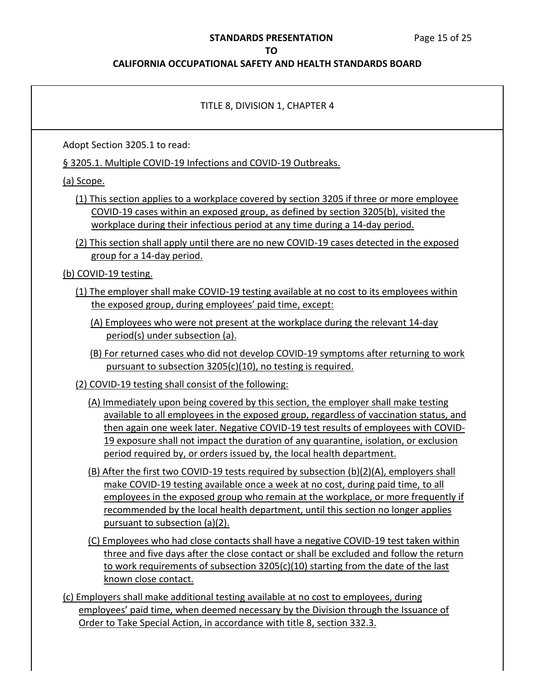#### **STANDARDS PRESENTATION** Page 15 of 25

#### **TO**

#### **CALIFORNIA OCCUPATIONAL SAFETY AND HEALTH STANDARDS BOARD**

#### TITLE 8, DIVISION 1, CHAPTER 4

Adopt Section 3205.1 to read:

§ 3205.1. Multiple COVID-19 Infections and COVID-19 Outbreaks.

(a) Scope.

- (1) This section applies to a workplace covered by section 3205 if three or more employee COVID-19 cases within an exposed group, as defined by section 3205(b), visited the workplace during their infectious period at any time during a 14-day period.
- (2) This section shall apply until there are no new COVID-19 cases detected in the exposed group for a 14-day period.

(b) COVID-19 testing.

- (1) The employer shall make COVID-19 testing available at no cost to its employees within the exposed group, during employees' paid time, except:
	- (A) Employees who were not present at the workplace during the relevant 14-day period(s) under subsection (a).
	- (B) For returned cases who did not develop COVID-19 symptoms after returning to work pursuant to subsection 3205(c)(10), no testing is required.
- (2) COVID-19 testing shall consist of the following:
	- available to all employees in the exposed group, regardless of vaccination status, and then again one week later. Negative COVID-19 test results of employees with COVID- 19 exposure shall not impact the duration of any quarantine, isolation, or exclusion period required by, or orders issued by, the local health department. (A) Immediately upon being covered by this section, the employer shall make testing
	- (B) After the first two COVID-19 tests required by subsection (b)(2)(A), employers shall make COVID-19 testing available once a week at no cost, during paid time, to all employees in the exposed group who remain at the workplace, or more frequently if recommended by the local health department, until this section no longer applies pursuant to subsection (a)(2).
	- (C) Employees who had close contacts shall have a negative COVID-19 test taken within three and five days after the close contact or shall be excluded and follow the return to work requirements of subsection 3205(c)(10) starting from the date of the last known close contact.

 (c) Employers shall make additional testing available at no cost to employees, during employees' paid time, when deemed necessary by the Division through the Issuance of Order to Take Special Action, in accordance with title 8, section 332.3.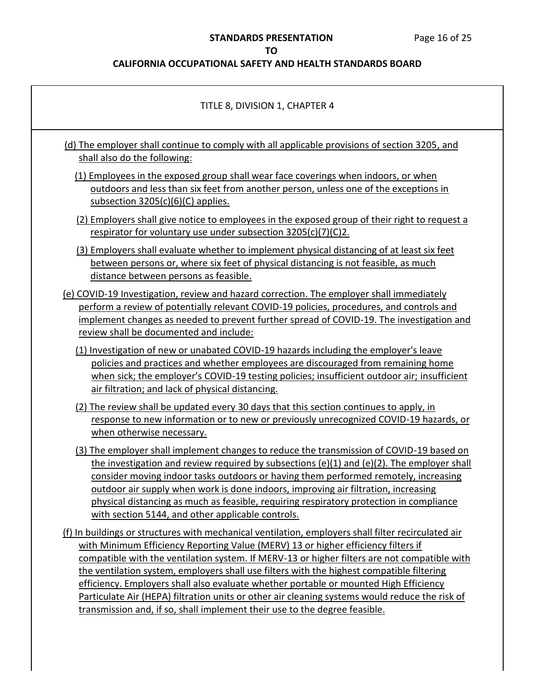## **STANDARDS PRESENTATION** Page 16 of 25

## **TO**

| TITLE 8, DIVISION 1, CHAPTER 4                                                                                                                                                                                                                                                                                                                                                                                                                                                                                                                                                                                                                                 |
|----------------------------------------------------------------------------------------------------------------------------------------------------------------------------------------------------------------------------------------------------------------------------------------------------------------------------------------------------------------------------------------------------------------------------------------------------------------------------------------------------------------------------------------------------------------------------------------------------------------------------------------------------------------|
| (d) The employer shall continue to comply with all applicable provisions of section 3205, and<br>shall also do the following:                                                                                                                                                                                                                                                                                                                                                                                                                                                                                                                                  |
| (1) Employees in the exposed group shall wear face coverings when indoors, or when<br>outdoors and less than six feet from another person, unless one of the exceptions in<br>subsection $3205(c)(6)(C)$ applies.                                                                                                                                                                                                                                                                                                                                                                                                                                              |
| (2) Employers shall give notice to employees in the exposed group of their right to request a<br>respirator for voluntary use under subsection 3205(c)(7)(C)2.                                                                                                                                                                                                                                                                                                                                                                                                                                                                                                 |
| (3) Employers shall evaluate whether to implement physical distancing of at least six feet<br>between persons or, where six feet of physical distancing is not feasible, as much<br>distance between persons as feasible.                                                                                                                                                                                                                                                                                                                                                                                                                                      |
| (e) COVID-19 Investigation, review and hazard correction. The employer shall immediately<br>perform a review of potentially relevant COVID-19 policies, procedures, and controls and<br>implement changes as needed to prevent further spread of COVID-19. The investigation and<br>review shall be documented and include:                                                                                                                                                                                                                                                                                                                                    |
| (1) Investigation of new or unabated COVID-19 hazards including the employer's leave<br>policies and practices and whether employees are discouraged from remaining home<br>when sick; the employer's COVID-19 testing policies; insufficient outdoor air; insufficient<br>air filtration; and lack of physical distancing.                                                                                                                                                                                                                                                                                                                                    |
| (2) The review shall be updated every 30 days that this section continues to apply, in<br>response to new information or to new or previously unrecognized COVID-19 hazards, or<br>when otherwise necessary.                                                                                                                                                                                                                                                                                                                                                                                                                                                   |
| (3) The employer shall implement changes to reduce the transmission of COVID-19 based on<br>the investigation and review required by subsections (e)(1) and (e)(2). The employer shall<br>consider moving indoor tasks outdoors or having them performed remotely, increasing<br>outdoor air supply when work is done indoors, improving air filtration, increasing<br>physical distancing as much as feasible, requiring respiratory protection in compliance<br>with section 5144, and other applicable controls.                                                                                                                                            |
| (f) In buildings or structures with mechanical ventilation, employers shall filter recirculated air<br>with Minimum Efficiency Reporting Value (MERV) 13 or higher efficiency filters if<br>compatible with the ventilation system. If MERV-13 or higher filters are not compatible with<br>the ventilation system, employers shall use filters with the highest compatible filtering<br>efficiency. Employers shall also evaluate whether portable or mounted High Efficiency<br>Particulate Air (HEPA) filtration units or other air cleaning systems would reduce the risk of<br>transmission and, if so, shall implement their use to the degree feasible. |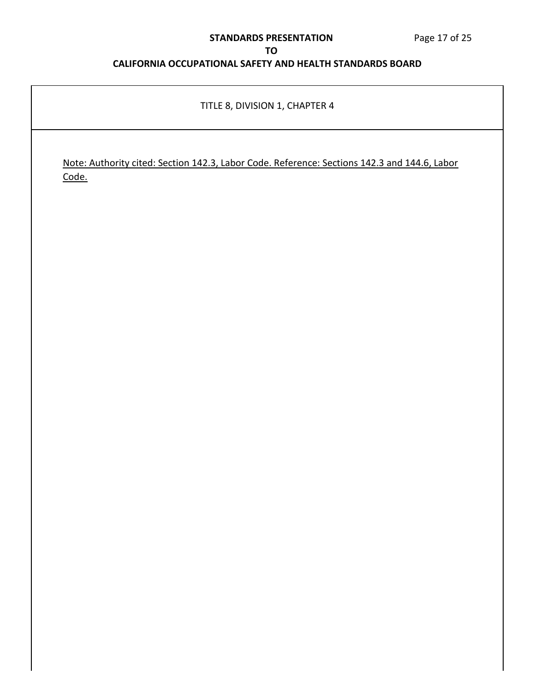#### **STANDARDS PRESENTATION** Page 17 of 25

## **TO CALIFORNIA OCCUPATIONAL SAFETY AND HEALTH STANDARDS BOARD**

## TITLE 8, DIVISION 1, CHAPTER 4

 Note: Authority cited: Section 142.3, Labor Code. Reference: Sections 142.3 and 144.6, Labor Code.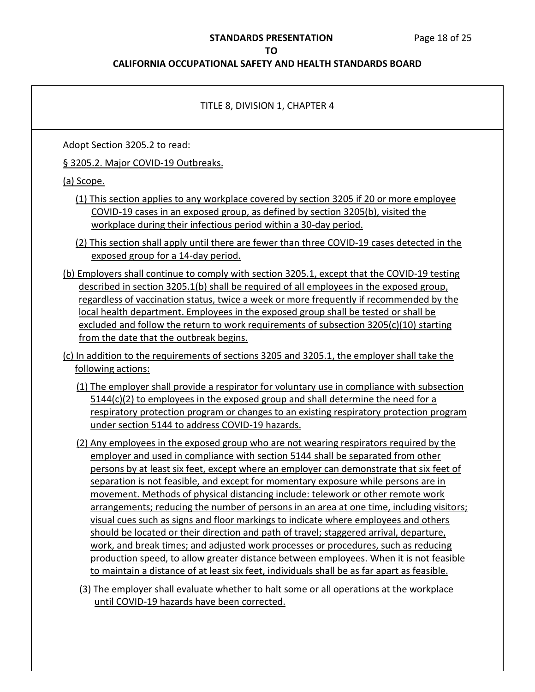#### **STANDARDS PRESENTATION** Page 18 of 25

#### **TO**

#### **CALIFORNIA OCCUPATIONAL SAFETY AND HEALTH STANDARDS BOARD**

#### TITLE 8, DIVISION 1, CHAPTER 4

Adopt Section 3205.2 to read:

§ 3205.2. Major COVID-19 Outbreaks.

(a) Scope.

 (1) This section applies to any workplace covered by section 3205 if 20 or more employee COVID-19 cases in an exposed group, as defined by section 3205(b), visited the workplace during their infectious period within a 30-day period.

 (2) This section shall apply until there are fewer than three COVID-19 cases detected in the exposed group for a 14-day period.

- (b) Employers shall continue to comply with section 3205.1, except that the COVID-19 testing described in section 3205.1(b) shall be required of all employees in the exposed group, regardless of vaccination status, twice a week or more frequently if recommended by the local health department. Employees in the exposed group shall be tested or shall be excluded and follow the return to work requirements of subsection 3205(c)(10) starting from the date that the outbreak begins.
- (c) In addition to the requirements of sections 3205 and 3205.1, the employer shall take the following actions:
	- (1) The employer shall provide a respirator for voluntary use in compliance with subsection 5144(c)(2) to employees in the exposed group and shall determine the need for a respiratory protection program or changes to an existing respiratory protection program under section 5144 to address COVID-19 hazards.
	- (2) Any employees in the exposed group who are not wearing respirators required by the employer and used in compliance with section 5144 shall be separated from other persons by at least six feet, except where an employer can demonstrate that six feet of separation is not feasible, and except for momentary exposure while persons are in movement. Methods of physical distancing include: telework or other remote work arrangements; reducing the number of persons in an area at one time, including visitors; visual cues such as signs and floor markings to indicate where employees and others should be located or their direction and path of travel; staggered arrival, departure, work, and break times; and adjusted work processes or procedures, such as reducing production speed, to allow greater distance between employees. When it is not feasible to maintain a distance of at least six feet, individuals shall be as far apart as feasible.
	- (3) The employer shall evaluate whether to halt some or all operations at the workplace until COVID-19 hazards have been corrected.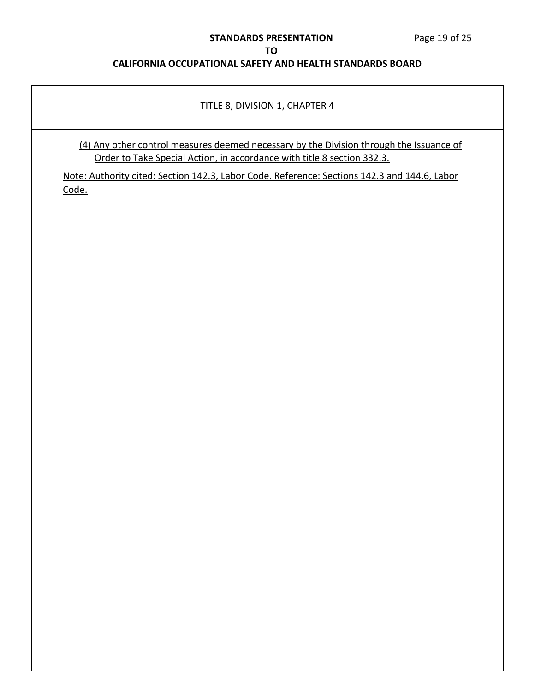#### **STANDARDS PRESENTATION** Page 19 of 25

## **TO**

## **CALIFORNIA OCCUPATIONAL SAFETY AND HEALTH STANDARDS BOARD**

#### TITLE 8, DIVISION 1, CHAPTER 4

 (4) Any other control measures deemed necessary by the Division through the Issuance of Order to Take Special Action, in accordance with title 8 section 332.3.

 Note: Authority cited: Section 142.3, Labor Code. Reference: Sections 142.3 and 144.6, Labor Code.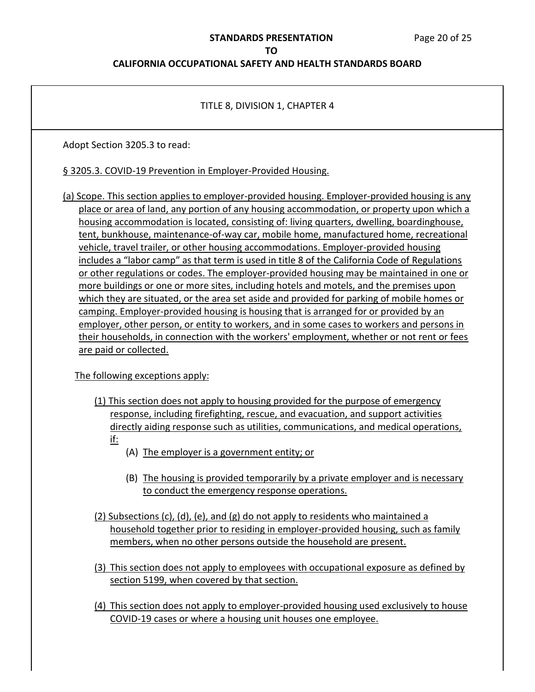#### **STANDARDS PRESENTATION** Page 20 of 25

**TO** 

#### **CALIFORNIA OCCUPATIONAL SAFETY AND HEALTH STANDARDS BOARD**

#### TITLE 8, DIVISION 1, CHAPTER 4

Adopt Section 3205.3 to read:

## § 3205.3. COVID-19 Prevention in Employer-Provided Housing.

 (a) Scope. This section applies to employer-provided housing. Employer-provided housing is any place or area of land, any portion of any housing accommodation, or property upon which a includes a "labor camp" as that term is used in title 8 of the California Code of Regulations or other regulations or codes. The employer-provided housing may be maintained in one or more buildings or one or more sites, including hotels and motels, and the premises upon which they are situated, or the area set aside and provided for parking of mobile homes or camping. Employer-provided housing is housing that is arranged for or provided by an employer, other person, or entity to workers, and in some cases to workers and persons in their households, in connection with the workers' employment, whether or not rent or fees are paid or collected. housing accommodation is located, consisting of: living quarters, dwelling, boardinghouse, tent, bunkhouse, maintenance-of-way car, mobile home, manufactured home, recreational vehicle, travel trailer, or other housing accommodations. Employer-provided housing

The following exceptions apply:

- (1) This section does not apply to housing provided for the purpose of emergency response, including firefighting, rescue, and evacuation, and support activities directly aiding response such as utilities, communications, and medical operations, if:
	- (A) The employer is a government entity; or
	- (B) The housing is provided temporarily by a private employer and is necessary to conduct the emergency response operations.
- (2) Subsections (c), (d), (e), and (g) do not apply to residents who maintained a household together prior to residing in employer-provided housing, such as family members, when no other persons outside the household are present.
- (3) This section does not apply to employees with occupational exposure as defined by section 5199, when covered by that section.
- (4) This section does not apply to employer-provided housing used exclusively to house COVID-19 cases or where a housing unit houses one employee.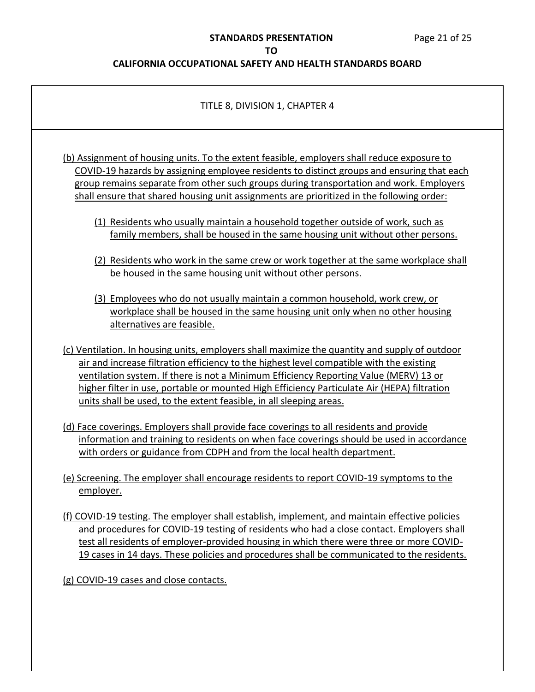#### **CALIFORNIA OCCUPATIONAL SAFETY AND HEALTH STANDARDS BOARD**

#### TITLE 8, DIVISION 1, CHAPTER 4

 (b) Assignment of housing units. To the extent feasible, employers shall reduce exposure to COVID-19 hazards by assigning employee residents to distinct groups and ensuring that each shall ensure that shared housing unit assignments are prioritized in the following order: group remains separate from other such groups during transportation and work. Employers

- (1) Residents who usually maintain a household together outside of work, such as family members, shall be housed in the same housing unit without other persons.
- (2) Residents who work in the same crew or work together at the same workplace shall be housed in the same housing unit without other persons.
- (3) Employees who do not usually maintain a common household, work crew, or workplace shall be housed in the same housing unit only when no other housing alternatives are feasible.
- (c) Ventilation. In housing units, employers shall maximize the quantity and supply of outdoor air and increase filtration efficiency to the highest level compatible with the existing ventilation system. If there is not a Minimum Efficiency Reporting Value (MERV) 13 or higher filter in use, portable or mounted High Efficiency Particulate Air (HEPA) filtration units shall be used, to the extent feasible, in all sleeping areas.
- information and training to residents on when face coverings should be used in accordance with orders or guidance from CDPH and from the local health department. (d) Face coverings. Employers shall provide face coverings to all residents and provide
- (e) Screening. The employer shall encourage residents to report COVID-19 symptoms to the employer.
- (f) COVID-19 testing. The employer shall establish, implement, and maintain effective policies and procedures for COVID-19 testing of residents who had a close contact. Employers shall test all residents of employer-provided housing in which there were three or more COVID-19 cases in 14 days. These policies and procedures shall be communicated to the residents.

(g) COVID-19 cases and close contacts.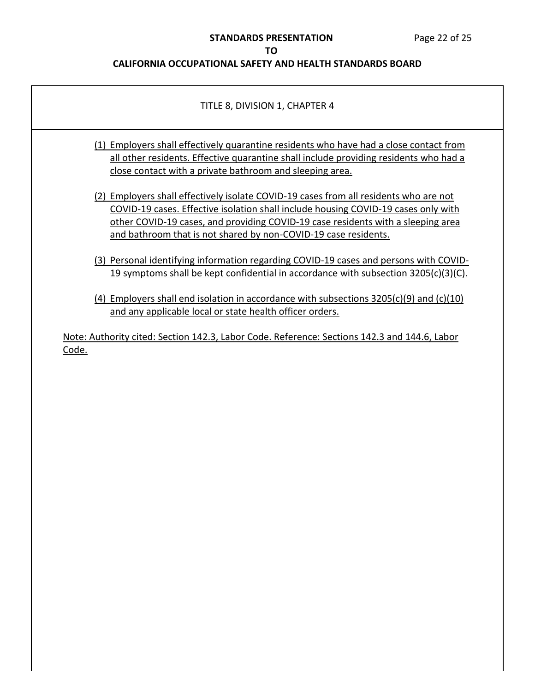#### **STANDARDS PRESENTATION** Page 22 of 25

#### **TO**

#### **CALIFORNIA OCCUPATIONAL SAFETY AND HEALTH STANDARDS BOARD**

## TITLE 8, DIVISION 1, CHAPTER 4

- (1) Employers shall effectively quarantine residents who have had a close contact from all other residents. Effective quarantine shall include providing residents who had a close contact with a private bathroom and sleeping area.
- (2) Employers shall effectively isolate COVID-19 cases from all residents who are not COVID-19 cases. Effective isolation shall include housing COVID-19 cases only with other COVID-19 cases, and providing COVID-19 case residents with a sleeping area and bathroom that is not shared by non-COVID-19 case residents.
- (3) Personal identifying information regarding COVID-19 cases and persons with COVID-19 symptoms shall be kept confidential in accordance with subsection 3205(c)(3)(C).
- (4) Employers shall end isolation in accordance with subsections 3205(c)(9) and (c)(10) and any applicable local or state health officer orders.

 Note: Authority cited: Section 142.3, Labor Code. Reference: Sections 142.3 and 144.6, Labor Code.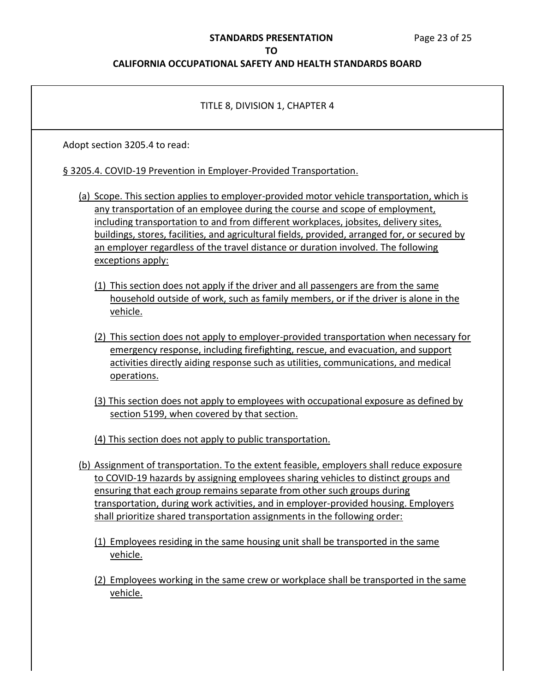#### **STANDARDS PRESENTATION** Page 23 of 25

#### **TO**

#### **CALIFORNIA OCCUPATIONAL SAFETY AND HEALTH STANDARDS BOARD**

# TITLE 8, DIVISION 1, CHAPTER 4 Adopt section 3205.4 to read: § 3205.4. COVID-19 Prevention in Employer-Provided Transportation. (a) Scope. This section applies to employer-provided motor vehicle transportation, which is any transportation of an employee during the course and scope of employment, including transportation to and from different workplaces, jobsites, delivery sites, buildings, stores, facilities, and agricultural fields, provided, arranged for, or secured by an employer regardless of the travel distance or duration involved. The following (1) This section does not apply if the driver and all passengers are from the same household outside of work, such as family members, or if the driver is alone in the (2) This section does not apply to employer-provided transportation when necessary for emergency response, including firefighting, rescue, and evacuation, and support activities directly aiding response such as utilities, communications, and medical (3) This section does not apply to employees with occupational exposure as defined by section 5199, when covered by that section. (4) This section does not apply to public transportation. (b) Assignment of transportation. To the extent feasible, employers shall reduce exposure exceptions apply: vehicle. operations.

- to COVID-19 hazards by assigning employees sharing vehicles to distinct groups and ensuring that each group remains separate from other such groups during transportation, during work activities, and in employer-provided housing. Employers shall prioritize shared transportation assignments in the following order:
	- (1) Employees residing in the same housing unit shall be transported in the same vehicle.
	- (2) Employees working in the same crew or workplace shall be transported in the same vehicle.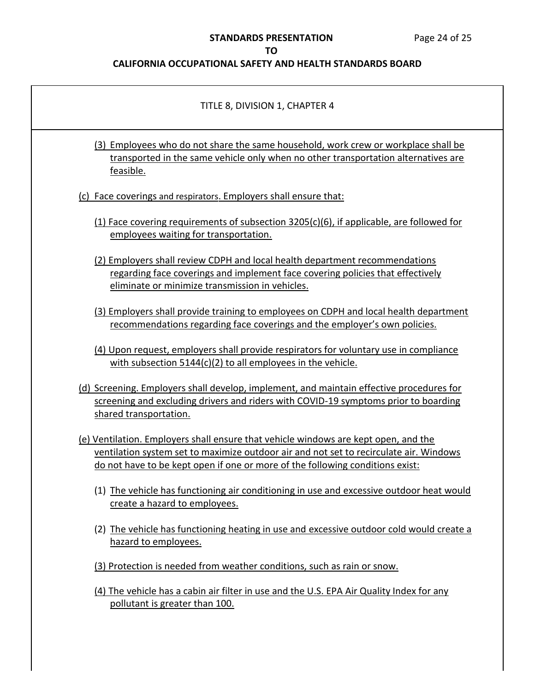## **STANDARDS PRESENTATION** Page 24 of 25

## **TO**

| TITLE 8, DIVISION 1, CHAPTER 4                                                                                                                                                                                                                                 |
|----------------------------------------------------------------------------------------------------------------------------------------------------------------------------------------------------------------------------------------------------------------|
| (3) Employees who do not share the same household, work crew or workplace shall be<br>transported in the same vehicle only when no other transportation alternatives are<br>feasible.                                                                          |
| (c) Face coverings and respirators. Employers shall ensure that:                                                                                                                                                                                               |
| $(1)$ Face covering requirements of subsection 3205(c)(6), if applicable, are followed for<br>employees waiting for transportation.                                                                                                                            |
| (2) Employers shall review CDPH and local health department recommendations<br>regarding face coverings and implement face covering policies that effectively<br>eliminate or minimize transmission in vehicles.                                               |
| (3) Employers shall provide training to employees on CDPH and local health department<br>recommendations regarding face coverings and the employer's own policies.                                                                                             |
| (4) Upon request, employers shall provide respirators for voluntary use in compliance<br>with subsection $5144(c)(2)$ to all employees in the vehicle.                                                                                                         |
| (d) Screening. Employers shall develop, implement, and maintain effective procedures for<br>screening and excluding drivers and riders with COVID-19 symptoms prior to boarding<br>shared transportation.                                                      |
| (e) Ventilation. Employers shall ensure that vehicle windows are kept open, and the<br>ventilation system set to maximize outdoor air and not set to recirculate air. Windows<br>do not have to be kept open if one or more of the following conditions exist: |
| (1) The vehicle has functioning air conditioning in use and excessive outdoor heat would<br>create a hazard to employees.                                                                                                                                      |
| (2) The vehicle has functioning heating in use and excessive outdoor cold would create a<br>hazard to employees.                                                                                                                                               |
| (3) Protection is needed from weather conditions, such as rain or snow.                                                                                                                                                                                        |
| (4) The vehicle has a cabin air filter in use and the U.S. EPA Air Quality Index for any<br>pollutant is greater than 100.                                                                                                                                     |